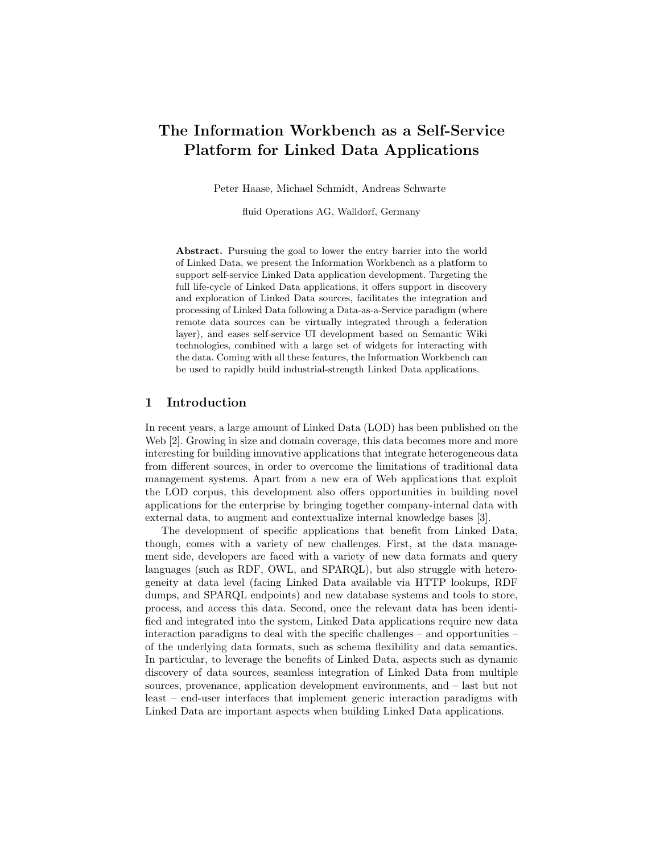# The Information Workbench as a Self-Service Platform for Linked Data Applications

Peter Haase, Michael Schmidt, Andreas Schwarte

fluid Operations AG, Walldorf, Germany

Abstract. Pursuing the goal to lower the entry barrier into the world of Linked Data, we present the Information Workbench as a platform to support self-service Linked Data application development. Targeting the full life-cycle of Linked Data applications, it offers support in discovery and exploration of Linked Data sources, facilitates the integration and processing of Linked Data following a Data-as-a-Service paradigm (where remote data sources can be virtually integrated through a federation layer), and eases self-service UI development based on Semantic Wiki technologies, combined with a large set of widgets for interacting with the data. Coming with all these features, the Information Workbench can be used to rapidly build industrial-strength Linked Data applications.

## 1 Introduction

In recent years, a large amount of Linked Data (LOD) has been published on the Web [2]. Growing in size and domain coverage, this data becomes more and more interesting for building innovative applications that integrate heterogeneous data from different sources, in order to overcome the limitations of traditional data management systems. Apart from a new era of Web applications that exploit the LOD corpus, this development also offers opportunities in building novel applications for the enterprise by bringing together company-internal data with external data, to augment and contextualize internal knowledge bases [3].

The development of specific applications that benefit from Linked Data, though, comes with a variety of new challenges. First, at the data management side, developers are faced with a variety of new data formats and query languages (such as RDF, OWL, and SPARQL), but also struggle with heterogeneity at data level (facing Linked Data available via HTTP lookups, RDF dumps, and SPARQL endpoints) and new database systems and tools to store, process, and access this data. Second, once the relevant data has been identified and integrated into the system, Linked Data applications require new data interaction paradigms to deal with the specific challenges – and opportunities – of the underlying data formats, such as schema flexibility and data semantics. In particular, to leverage the benefits of Linked Data, aspects such as dynamic discovery of data sources, seamless integration of Linked Data from multiple sources, provenance, application development environments, and – last but not least – end-user interfaces that implement generic interaction paradigms with Linked Data are important aspects when building Linked Data applications.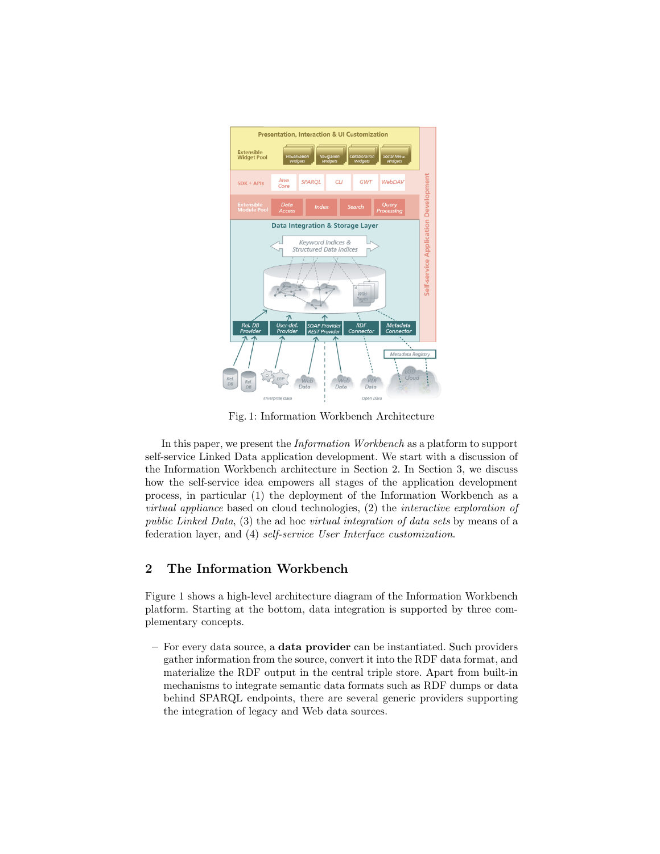

Fig. 1: Information Workbench Architecture

In this paper, we present the Information Workbench as a platform to support self-service Linked Data application development. We start with a discussion of the Information Workbench architecture in Section 2. In Section 3, we discuss how the self-service idea empowers all stages of the application development process, in particular (1) the deployment of the Information Workbench as a virtual appliance based on cloud technologies, (2) the interactive exploration of public Linked Data, (3) the ad hoc virtual integration of data sets by means of a federation layer, and (4) self-service User Interface customization.

# 2 The Information Workbench

Figure 1 shows a high-level architecture diagram of the Information Workbench platform. Starting at the bottom, data integration is supported by three complementary concepts.

– For every data source, a data provider can be instantiated. Such providers gather information from the source, convert it into the RDF data format, and materialize the RDF output in the central triple store. Apart from built-in mechanisms to integrate semantic data formats such as RDF dumps or data behind SPARQL endpoints, there are several generic providers supporting the integration of legacy and Web data sources.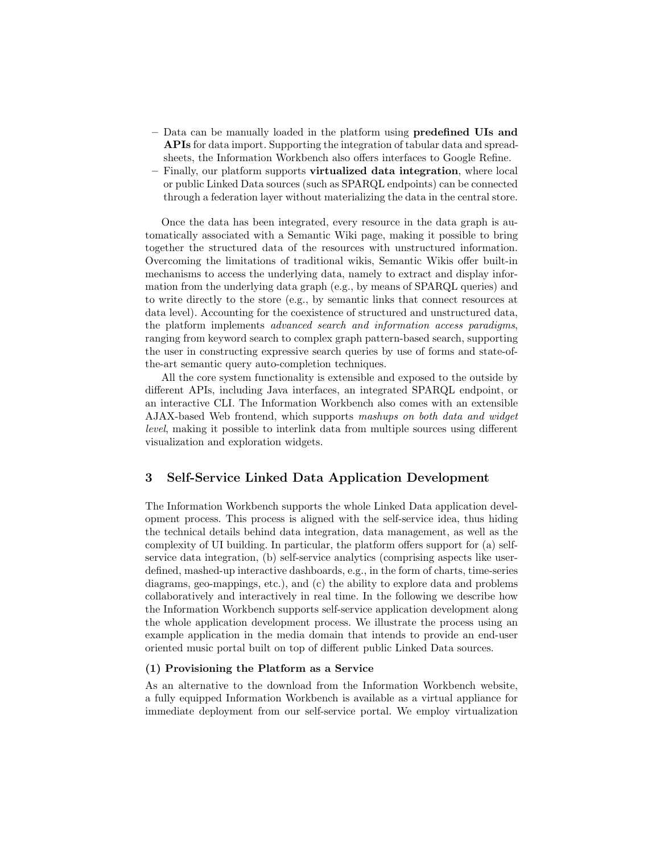- Data can be manually loaded in the platform using predefined UIs and APIs for data import. Supporting the integration of tabular data and spreadsheets, the Information Workbench also offers interfaces to Google Refine.
- Finally, our platform supports virtualized data integration, where local or public Linked Data sources (such as SPARQL endpoints) can be connected through a federation layer without materializing the data in the central store.

Once the data has been integrated, every resource in the data graph is automatically associated with a Semantic Wiki page, making it possible to bring together the structured data of the resources with unstructured information. Overcoming the limitations of traditional wikis, Semantic Wikis offer built-in mechanisms to access the underlying data, namely to extract and display information from the underlying data graph (e.g., by means of SPARQL queries) and to write directly to the store (e.g., by semantic links that connect resources at data level). Accounting for the coexistence of structured and unstructured data, the platform implements advanced search and information access paradigms, ranging from keyword search to complex graph pattern-based search, supporting the user in constructing expressive search queries by use of forms and state-ofthe-art semantic query auto-completion techniques.

All the core system functionality is extensible and exposed to the outside by different APIs, including Java interfaces, an integrated SPARQL endpoint, or an interactive CLI. The Information Workbench also comes with an extensible AJAX-based Web frontend, which supports mashups on both data and widget level, making it possible to interlink data from multiple sources using different visualization and exploration widgets.

# 3 Self-Service Linked Data Application Development

The Information Workbench supports the whole Linked Data application development process. This process is aligned with the self-service idea, thus hiding the technical details behind data integration, data management, as well as the complexity of UI building. In particular, the platform offers support for (a) selfservice data integration, (b) self-service analytics (comprising aspects like userdefined, mashed-up interactive dashboards, e.g., in the form of charts, time-series diagrams, geo-mappings, etc.), and (c) the ability to explore data and problems collaboratively and interactively in real time. In the following we describe how the Information Workbench supports self-service application development along the whole application development process. We illustrate the process using an example application in the media domain that intends to provide an end-user oriented music portal built on top of different public Linked Data sources.

#### (1) Provisioning the Platform as a Service

As an alternative to the download from the Information Workbench website, a fully equipped Information Workbench is available as a virtual appliance for immediate deployment from our self-service portal. We employ virtualization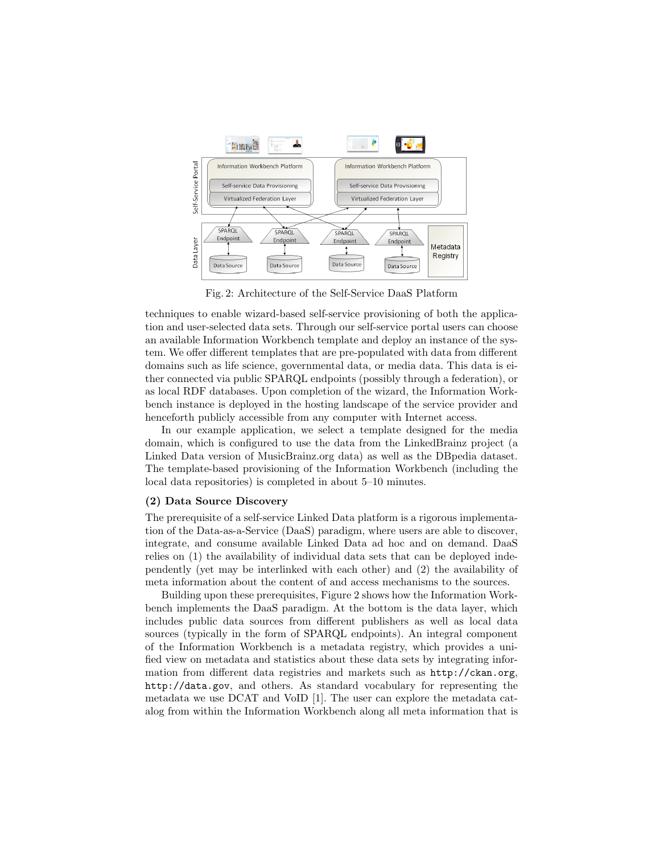

Fig. 2: Architecture of the Self-Service DaaS Platform

techniques to enable wizard-based self-service provisioning of both the application and user-selected data sets. Through our self-service portal users can choose an available Information Workbench template and deploy an instance of the system. We offer different templates that are pre-populated with data from different domains such as life science, governmental data, or media data. This data is either connected via public SPARQL endpoints (possibly through a federation), or as local RDF databases. Upon completion of the wizard, the Information Workbench instance is deployed in the hosting landscape of the service provider and henceforth publicly accessible from any computer with Internet access.

In our example application, we select a template designed for the media domain, which is configured to use the data from the LinkedBrainz project (a Linked Data version of MusicBrainz.org data) as well as the DBpedia dataset. The template-based provisioning of the Information Workbench (including the local data repositories) is completed in about 5–10 minutes.

#### (2) Data Source Discovery

The prerequisite of a self-service Linked Data platform is a rigorous implementation of the Data-as-a-Service (DaaS) paradigm, where users are able to discover, integrate, and consume available Linked Data ad hoc and on demand. DaaS relies on (1) the availability of individual data sets that can be deployed independently (yet may be interlinked with each other) and (2) the availability of meta information about the content of and access mechanisms to the sources.

Building upon these prerequisites, Figure 2 shows how the Information Workbench implements the DaaS paradigm. At the bottom is the data layer, which includes public data sources from different publishers as well as local data sources (typically in the form of SPARQL endpoints). An integral component of the Information Workbench is a metadata registry, which provides a unified view on metadata and statistics about these data sets by integrating information from different data registries and markets such as http://ckan.org, http://data.gov, and others. As standard vocabulary for representing the metadata we use DCAT and VoID [1]. The user can explore the metadata catalog from within the Information Workbench along all meta information that is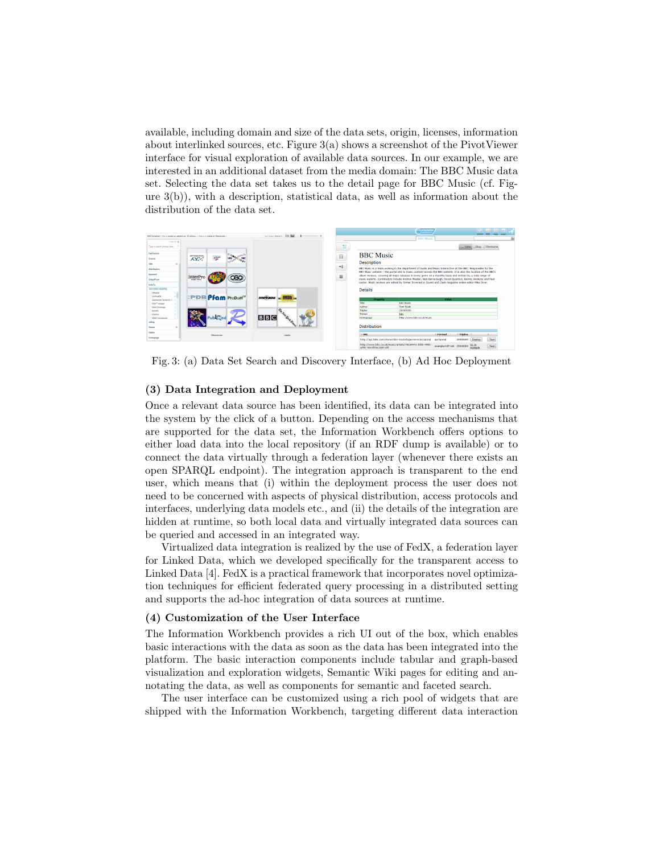available, including domain and size of the data sets, origin, licenses, information about interlinked sources, etc. Figure 3(a) shows a screenshot of the PivotViewer interface for visual exploration of available data sources. In our example, we are interested in an additional dataset from the media domain: The BBC Music data set. Selecting the data set takes us to the detail page for BBC Music (cf. Figure 3(b)), with a description, statistical data, as well as information about the distribution of the data set.



Fig. 3: (a) Data Set Search and Discovery Interface, (b) Ad Hoc Deployment

#### (3) Data Integration and Deployment

Once a relevant data source has been identified, its data can be integrated into the system by the click of a button. Depending on the access mechanisms that are supported for the data set, the Information Workbench offers options to either load data into the local repository (if an RDF dump is available) or to connect the data virtually through a federation layer (whenever there exists an open SPARQL endpoint). The integration approach is transparent to the end user, which means that (i) within the deployment process the user does not need to be concerned with aspects of physical distribution, access protocols and interfaces, underlying data models etc., and (ii) the details of the integration are hidden at runtime, so both local data and virtually integrated data sources can be queried and accessed in an integrated way.

Virtualized data integration is realized by the use of FedX, a federation layer for Linked Data, which we developed specifically for the transparent access to Linked Data [4]. FedX is a practical framework that incorporates novel optimization techniques for efficient federated query processing in a distributed setting and supports the ad-hoc integration of data sources at runtime.

#### (4) Customization of the User Interface

The Information Workbench provides a rich UI out of the box, which enables basic interactions with the data as soon as the data has been integrated into the platform. The basic interaction components include tabular and graph-based visualization and exploration widgets, Semantic Wiki pages for editing and annotating the data, as well as components for semantic and faceted search.

The user interface can be customized using a rich pool of widgets that are shipped with the Information Workbench, targeting different data interaction